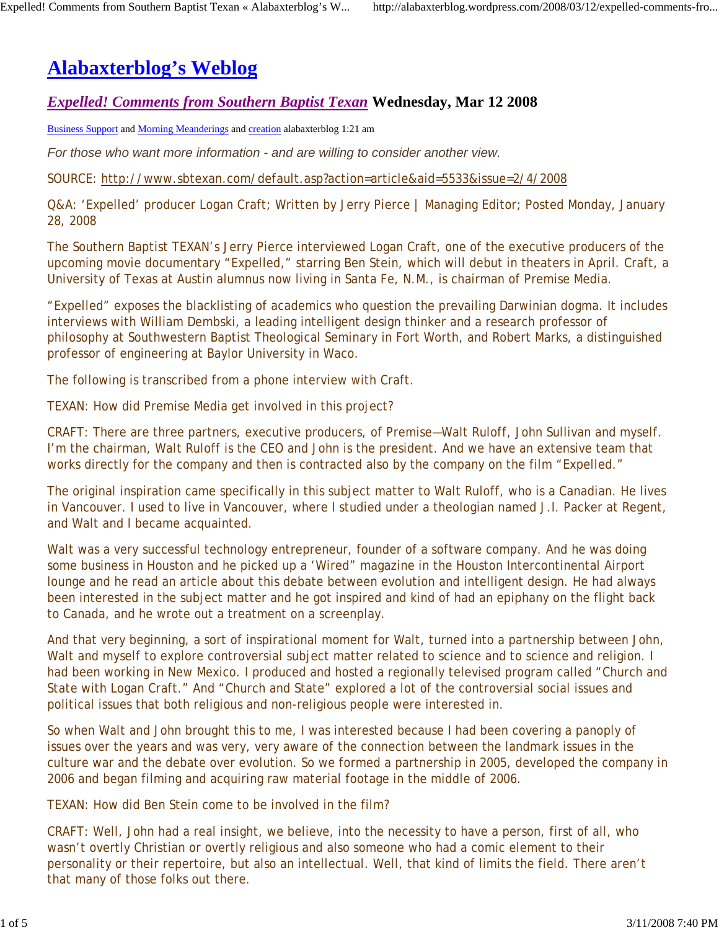# **Alabaxterblog's Weblog**

## *Expelled! Comments from Southern Baptist Texan* **Wednesday, Mar 12 2008**

Business Support and Morning Meanderings and creation alabaxterblog 1:21 am

*For those who want more information - and are willing to consider another view.* 

SOURCE: http://www.sbtexan.com/default.asp?action=article&aid=5533&issue=2/4/2008

Q&A: 'Expelled' producer Logan Craft; Written by Jerry Pierce | Managing Editor; Posted Monday, January 28, 2008

The Southern Baptist TEXAN's Jerry Pierce interviewed Logan Craft, one of the executive producers of the upcoming movie documentary "Expelled," starring Ben Stein, which will debut in theaters in April. Craft, a University of Texas at Austin alumnus now living in Santa Fe, N.M., is chairman of Premise Media.

"Expelled" exposes the blacklisting of academics who question the prevailing Darwinian dogma. It includes interviews with William Dembski, a leading intelligent design thinker and a research professor of philosophy at Southwestern Baptist Theological Seminary in Fort Worth, and Robert Marks, a distinguished professor of engineering at Baylor University in Waco.

The following is transcribed from a phone interview with Craft.

TEXAN: How did Premise Media get involved in this project?

CRAFT: There are three partners, executive producers, of Premise—Walt Ruloff, John Sullivan and myself. I'm the chairman, Walt Ruloff is the CEO and John is the president. And we have an extensive team that works directly for the company and then is contracted also by the company on the film "Expelled."

The original inspiration came specifically in this subject matter to Walt Ruloff, who is a Canadian. He lives in Vancouver. I used to live in Vancouver, where I studied under a theologian named J.I. Packer at Regent, and Walt and I became acquainted.

Walt was a very successful technology entrepreneur, founder of a software company. And he was doing some business in Houston and he picked up a 'Wired" magazine in the Houston Intercontinental Airport lounge and he read an article about this debate between evolution and intelligent design. He had always been interested in the subject matter and he got inspired and kind of had an epiphany on the flight back to Canada, and he wrote out a treatment on a screenplay.

And that very beginning, a sort of inspirational moment for Walt, turned into a partnership between John, Walt and myself to explore controversial subject matter related to science and to science and religion. I had been working in New Mexico. I produced and hosted a regionally televised program called "Church and State with Logan Craft." And "Church and State" explored a lot of the controversial social issues and political issues that both religious and non-religious people were interested in.

So when Walt and John brought this to me, I was interested because I had been covering a panoply of issues over the years and was very, very aware of the connection between the landmark issues in the culture war and the debate over evolution. So we formed a partnership in 2005, developed the company in 2006 and began filming and acquiring raw material footage in the middle of 2006.

TEXAN: How did Ben Stein come to be involved in the film?

CRAFT: Well, John had a real insight, we believe, into the necessity to have a person, first of all, who wasn't overtly Christian or overtly religious and also someone who had a comic element to their personality or their repertoire, but also an intellectual. Well, that kind of limits the field. There aren't that many of those folks out there.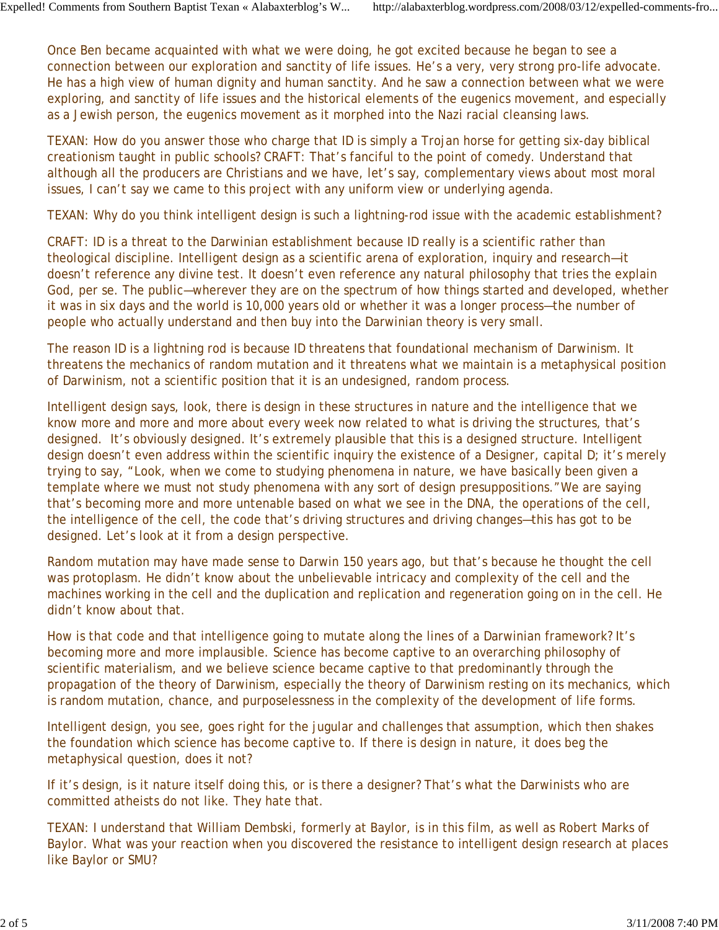Once Ben became acquainted with what we were doing, he got excited because he began to see a connection between our exploration and sanctity of life issues. He's a very, very strong pro-life advocate. He has a high view of human dignity and human sanctity. And he saw a connection between what we were exploring, and sanctity of life issues and the historical elements of the eugenics movement, and especially as a Jewish person, the eugenics movement as it morphed into the Nazi racial cleansing laws.

TEXAN: How do you answer those who charge that ID is simply a Trojan horse for getting six-day biblical creationism taught in public schools? CRAFT: That's fanciful to the point of comedy. Understand that although all the producers are Christians and we have, let's say, complementary views about most moral issues, I can't say we came to this project with any uniform view or underlying agenda.

TEXAN: Why do you think intelligent design is such a lightning-rod issue with the academic establishment?

CRAFT: ID is a threat to the Darwinian establishment because ID really is a scientific rather than theological discipline. Intelligent design as a scientific arena of exploration, inquiry and research—it doesn't reference any divine test. It doesn't even reference any natural philosophy that tries the explain God, per se. The public—wherever they are on the spectrum of how things started and developed, whether it was in six days and the world is 10,000 years old or whether it was a longer process—the number of people who actually understand and then buy into the Darwinian theory is very small.

The reason ID is a lightning rod is because ID threatens that foundational mechanism of Darwinism. It threatens the mechanics of random mutation and it threatens what we maintain is a metaphysical position of Darwinism, not a scientific position that it is an undesigned, random process.

Intelligent design says, look, there is design in these structures in nature and the intelligence that we know more and more and more about every week now related to what is driving the structures, that's designed. It's obviously designed. It's extremely plausible that this is a designed structure. Intelligent design doesn't even address within the scientific inquiry the existence of a Designer, capital D; it's merely trying to say, "Look, when we come to studying phenomena in nature, we have basically been given a template where we must not study phenomena with any sort of design presuppositions."We are saying that's becoming more and more untenable based on what we see in the DNA, the operations of the cell, the intelligence of the cell, the code that's driving structures and driving changes—this has got to be designed. Let's look at it from a design perspective.

Random mutation may have made sense to Darwin 150 years ago, but that's because he thought the cell was protoplasm. He didn't know about the unbelievable intricacy and complexity of the cell and the machines working in the cell and the duplication and replication and regeneration going on in the cell. He didn't know about that.

How is that code and that intelligence going to mutate along the lines of a Darwinian framework? It's becoming more and more implausible. Science has become captive to an overarching philosophy of scientific materialism, and we believe science became captive to that predominantly through the propagation of the theory of Darwinism, especially the theory of Darwinism resting on its mechanics, which is random mutation, chance, and purposelessness in the complexity of the development of life forms.

Intelligent design, you see, goes right for the jugular and challenges that assumption, which then shakes the foundation which science has become captive to. If there is design in nature, it does beg the metaphysical question, does it not?

If it's design, is it nature itself doing this, or is there a designer? That's what the Darwinists who are committed atheists do not like. They hate that.

TEXAN: I understand that William Dembski, formerly at Baylor, is in this film, as well as Robert Marks of Baylor. What was your reaction when you discovered the resistance to intelligent design research at places like Baylor or SMU?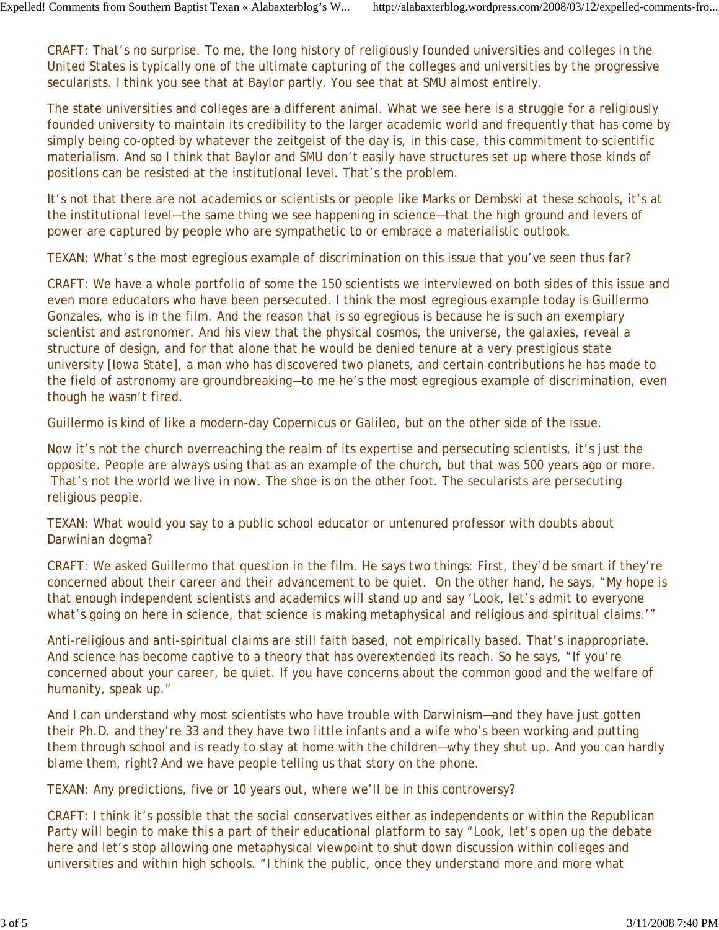CRAFT: That's no surprise. To me, the long history of religiously founded universities and colleges in the United States is typically one of the ultimate capturing of the colleges and universities by the progressive secularists. I think you see that at Baylor partly. You see that at SMU almost entirely.

The state universities and colleges are a different animal. What we see here is a struggle for a religiously founded university to maintain its credibility to the larger academic world and frequently that has come by simply being co-opted by whatever the zeitgeist of the day is, in this case, this commitment to scientific materialism. And so I think that Baylor and SMU don't easily have structures set up where those kinds of positions can be resisted at the institutional level. That's the problem.

It's not that there are not academics or scientists or people like Marks or Dembski at these schools, it's at the institutional level—the same thing we see happening in science—that the high ground and levers of power are captured by people who are sympathetic to or embrace a materialistic outlook.

TEXAN: What's the most egregious example of discrimination on this issue that you've seen thus far?

CRAFT: We have a whole portfolio of some the 150 scientists we interviewed on both sides of this issue and even more educators who have been persecuted. I think the most egregious example today is Guillermo Gonzales, who is in the film. And the reason that is so egregious is because he is such an exemplary scientist and astronomer. And his view that the physical cosmos, the universe, the galaxies, reveal a structure of design, and for that alone that he would be denied tenure at a very prestigious state university [Iowa State], a man who has discovered two planets, and certain contributions he has made to the field of astronomy are groundbreaking—to me he's the most egregious example of discrimination, even though he wasn't fired.

Guillermo is kind of like a modern-day Copernicus or Galileo, but on the other side of the issue.

Now it's not the church overreaching the realm of its expertise and persecuting scientists, it's just the opposite. People are always using that as an example of the church, but that was 500 years ago or more. That's not the world we live in now. The shoe is on the other foot. The secularists are persecuting religious people.

TEXAN: What would you say to a public school educator or untenured professor with doubts about Darwinian dogma?

CRAFT: We asked Guillermo that question in the film. He says two things: First, they'd be smart if they're concerned about their career and their advancement to be quiet. On the other hand, he says, "My hope is that enough independent scientists and academics will stand up and say 'Look, let's admit to everyone what's going on here in science, that science is making metaphysical and religious and spiritual claims.'"

Anti-religious and anti-spiritual claims are still faith based, not empirically based. That's inappropriate. And science has become captive to a theory that has overextended its reach. So he says, "If you're concerned about your career, be quiet. If you have concerns about the common good and the welfare of humanity, speak up."

And I can understand why most scientists who have trouble with Darwinism—and they have just gotten their Ph.D. and they're 33 and they have two little infants and a wife who's been working and putting them through school and is ready to stay at home with the children—why they shut up. And you can hardly blame them, right? And we have people telling us that story on the phone.

TEXAN: Any predictions, five or 10 years out, where we'll be in this controversy?

CRAFT: I think it's possible that the social conservatives either as independents or within the Republican Party will begin to make this a part of their educational platform to say "Look, let's open up the debate here and let's stop allowing one metaphysical viewpoint to shut down discussion within colleges and universities and within high schools. "I think the public, once they understand more and more what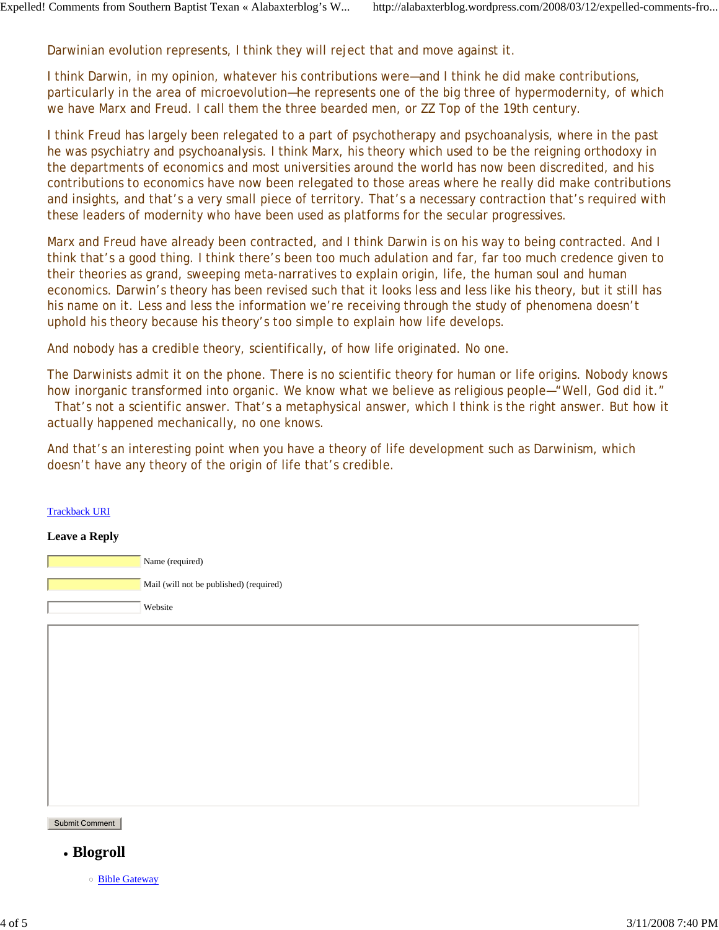Darwinian evolution represents, I think they will reject that and move against it.

I think Darwin, in my opinion, whatever his contributions were—and I think he did make contributions, particularly in the area of microevolution—he represents one of the big three of hypermodernity, of which we have Marx and Freud. I call them the three bearded men, or ZZ Top of the 19th century.

I think Freud has largely been relegated to a part of psychotherapy and psychoanalysis, where in the past he was psychiatry and psychoanalysis. I think Marx, his theory which used to be the reigning orthodoxy in the departments of economics and most universities around the world has now been discredited, and his contributions to economics have now been relegated to those areas where he really did make contributions and insights, and that's a very small piece of territory. That's a necessary contraction that's required with these leaders of modernity who have been used as platforms for the secular progressives.

Marx and Freud have already been contracted, and I think Darwin is on his way to being contracted. And I think that's a good thing. I think there's been too much adulation and far, far too much credence given to their theories as grand, sweeping meta-narratives to explain origin, life, the human soul and human economics. Darwin's theory has been revised such that it looks less and less like his theory, but it still has his name on it. Less and less the information we're receiving through the study of phenomena doesn't uphold his theory because his theory's too simple to explain how life develops.

And nobody has a credible theory, scientifically, of how life originated. No one.

The Darwinists admit it on the phone. There is no scientific theory for human or life origins. Nobody knows how inorganic transformed into organic. We know what we believe as religious people-"Well, God did it." That's not a scientific answer. That's a metaphysical answer, which I think is the right answer. But how it actually happened mechanically, no one knows.

And that's an interesting point when you have a theory of life development such as Darwinism, which doesn't have any theory of the origin of life that's credible.

#### Trackback URI

#### **Leave a Reply**

| Name (required)                         |
|-----------------------------------------|
| Mail (will not be published) (required) |
| Website                                 |

Submit Comment

- **Blogroll**
	- Bible Gateway